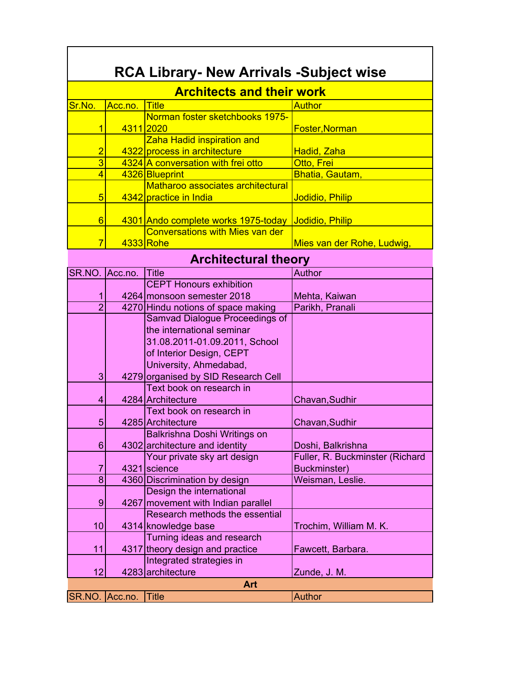| <b>RCA Library- New Arrivals -Subject wise</b> |           |                                        |                                 |  |
|------------------------------------------------|-----------|----------------------------------------|---------------------------------|--|
| <b>Architects and their work</b>               |           |                                        |                                 |  |
| Sr.No.                                         | Acc.no.   | <b>Title</b>                           | <b>Author</b>                   |  |
|                                                |           | Norman foster sketchbooks 1975-        |                                 |  |
| 1                                              | 4311 2020 |                                        | Foster, Norman                  |  |
|                                                |           | Zaha Hadid inspiration and             |                                 |  |
| $\overline{2}$                                 |           | 4322 process in architecture           | <b>Hadid, Zaha</b>              |  |
| $\overline{3}$                                 |           | 4324 A conversation with frei otto     | Otto, Frei                      |  |
| 4                                              |           | 4326 Blueprint                         | Bhatia, Gautam,                 |  |
|                                                |           | Matharoo associates architectural      |                                 |  |
| 5                                              |           | 4342 practice in India                 | Jodidio, Philip                 |  |
|                                                |           |                                        |                                 |  |
| 6                                              |           | 4301 Ando complete works 1975-today    | <b>Jodidio, Philip</b>          |  |
|                                                |           | <b>Conversations with Mies van der</b> |                                 |  |
| 7                                              |           | 4333 Rohe                              | Mies van der Rohe, Ludwig,      |  |
|                                                |           | <b>Architectural theory</b>            |                                 |  |
| SR.NO.                                         | Acc.no.   | <b>Title</b>                           | <b>Author</b>                   |  |
|                                                |           | <b>CEPT Honours exhibition</b>         |                                 |  |
| 1                                              |           | 4264 monsoon semester 2018             | Mehta, Kaiwan                   |  |
| $\overline{2}$                                 |           | 4270 Hindu notions of space making     | Parikh, Pranali                 |  |
|                                                |           | <b>Samvad Dialogue Proceedings of</b>  |                                 |  |
|                                                |           | the international seminar              |                                 |  |
|                                                |           | 31.08.2011-01.09.2011, School          |                                 |  |
|                                                |           | of Interior Design, CEPT               |                                 |  |
|                                                |           | University, Ahmedabad,                 |                                 |  |
| 3                                              |           | 4279 organised by SID Research Cell    |                                 |  |
|                                                |           | Text book on research in               |                                 |  |
| 4                                              |           | 4284 Architecture                      | Chavan, Sudhir                  |  |
|                                                |           | Text book on research in               |                                 |  |
| 5                                              |           | 4285 Architecture                      | Chavan, Sudhir                  |  |
|                                                |           | Balkrishna Doshi Writings on           |                                 |  |
| 6                                              |           | 4302 architecture and identity         | Doshi, Balkrishna               |  |
|                                                |           | Your private sky art design            | Fuller, R. Buckminster (Richard |  |
| $\overline{7}$                                 |           | 4321 science                           | Buckminster)                    |  |
| 8                                              |           | 4360 Discrimination by design          | Weisman, Leslie.                |  |
|                                                |           | Design the international               |                                 |  |
| 9                                              |           | 4267 movement with Indian parallel     |                                 |  |
|                                                |           | Research methods the essential         |                                 |  |
| 10                                             |           | 4314 knowledge base                    | Trochim, William M. K.          |  |
|                                                |           | <b>Turning ideas and research</b>      |                                 |  |
| 11                                             |           | 4317 theory design and practice        | Fawcett, Barbara.               |  |
|                                                |           | Integrated strategies in               |                                 |  |
| 12                                             |           |                                        |                                 |  |
|                                                |           | 4283 architecture                      | Zunde, J. M.                    |  |
|                                                |           | Art                                    |                                 |  |
| SR.NO.                                         | Acc.no.   | <b>Title</b>                           | <b>Author</b>                   |  |

٦

 $\Gamma$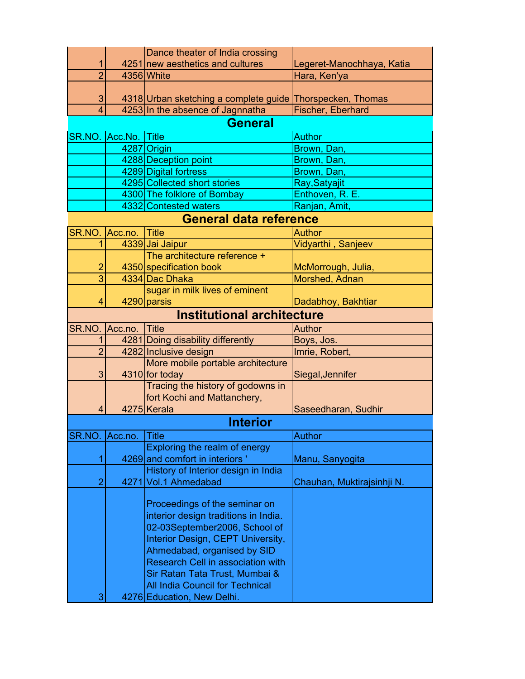|                |         | Dance theater of India crossing                                          |                            |
|----------------|---------|--------------------------------------------------------------------------|----------------------------|
| 1              |         | 4251 new aesthetics and cultures                                         | Legeret-Manochhaya, Katia  |
| $\overline{2}$ |         | 4356 White                                                               | Hara, Ken'ya               |
|                |         |                                                                          |                            |
| 3              |         | 4318 Urban sketching a complete guide Thorspecken, Thomas                |                            |
| $\overline{4}$ |         | 4253 In the absence of Jagnnatha                                         | Fischer, Eberhard          |
|                |         | <b>General</b>                                                           |                            |
| SR.NO.         | Acc.No. | $ $ Title                                                                | <b>Author</b>              |
|                |         | 4287 Origin                                                              | Brown, Dan,                |
|                |         | 4288 Deception point                                                     | Brown, Dan,                |
|                |         | 4289 Digital fortress                                                    | Brown, Dan,                |
|                |         | 4295 Collected short stories                                             | Ray, Satyajit              |
|                |         | 4300 The folklore of Bombay                                              | Enthoven, R. E.            |
|                |         | 4332 Contested waters                                                    | Ranjan, Amit,              |
|                |         | <b>General data reference</b>                                            |                            |
| SR.NO.         | Acc.no. | <b>Title</b>                                                             | Author                     |
| 1              |         | 4339 Jai Jaipur                                                          | Vidyarthi, Sanjeev         |
|                |         | The architecture reference +                                             |                            |
| $\overline{2}$ |         | 4350 specification book                                                  | McMorrough, Julia,         |
| 3              |         | 4334 Dac Dhaka                                                           | Morshed, Adnan             |
|                |         | sugar in milk lives of eminent                                           |                            |
| 4              |         | 4290 parsis                                                              | Dadabhoy, Bakhtiar         |
|                |         | <b>Institutional architecture</b>                                        |                            |
| SR.NO.         | Acc.no. | <b>Title</b>                                                             | <b>Author</b>              |
| 1              |         | 4281 Doing disability differently                                        | Boys, Jos.                 |
| $\overline{2}$ |         | 4282 Inclusive design                                                    | Imrie, Robert,             |
|                |         | More mobile portable architecture                                        |                            |
| 3              |         | 4310 for today                                                           | Siegal, Jennifer           |
|                |         | Tracing the history of godowns in                                        |                            |
|                |         | fort Kochi and Mattanchery,                                              |                            |
| 4              |         | 4275 Kerala                                                              | Saseedharan, Sudhir        |
|                |         | <b>Interior</b>                                                          |                            |
| SR.NO.         | Acc.no. | Title                                                                    | <b>Author</b>              |
|                |         | Exploring the realm of energy                                            |                            |
|                |         | 4269 and comfort in interiors'                                           | Manu, Sanyogita            |
|                |         | History of Interior design in India                                      |                            |
| $\overline{2}$ |         | 4271 Vol.1 Ahmedabad                                                     | Chauhan, Muktirajsinhji N. |
|                |         |                                                                          |                            |
|                |         | Proceedings of the seminar on                                            |                            |
|                |         | interior design traditions in India.                                     |                            |
|                |         | 02-03September2006, School of                                            |                            |
|                |         | Interior Design, CEPT University,                                        |                            |
|                |         | Ahmedabad, organised by SID                                              |                            |
|                |         | <b>Research Cell in association with</b>                                 |                            |
|                |         | Sir Ratan Tata Trust, Mumbai &<br><b>All India Council for Technical</b> |                            |
|                |         |                                                                          |                            |
| 3              |         | 4276 Education, New Delhi.                                               |                            |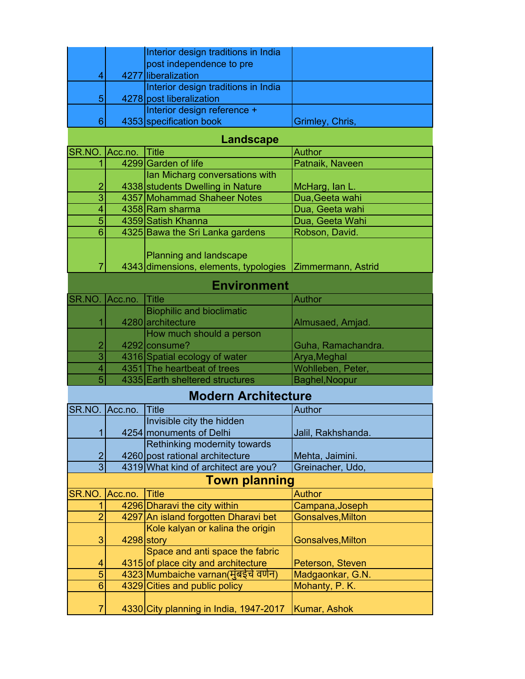|   | Interior design traditions in India |                 |
|---|-------------------------------------|-----------------|
|   | post independence to pre            |                 |
|   | 4277 liberalization                 |                 |
|   | Interior design traditions in India |                 |
| 5 | 4278 post liberalization            |                 |
|   | Interior design reference +         |                 |
|   | 4353 specification book             | Grimley, Chris, |
|   |                                     |                 |

## **Landscape**

|                    | SR.NO. Acc.no. Title |                                                                        | Author             |
|--------------------|----------------------|------------------------------------------------------------------------|--------------------|
|                    |                      | 4299 Garden of life                                                    | Patnaik, Naveen    |
|                    |                      | Ian Micharg conversations with                                         |                    |
| 2                  |                      | 4338 students Dwelling in Nature                                       | McHarg, lan L.     |
| 3                  |                      | 4357 Mohammad Shaheer Notes                                            | Dua, Geeta wahi    |
|                    |                      | 4358 Ram sharma                                                        | Dua, Geeta wahi    |
| 5                  |                      | 4359 Satish Khanna                                                     | Dua, Geeta Wahi    |
| 6                  |                      | 4325 Bawa the Sri Lanka gardens                                        | Robson, David.     |
|                    |                      | <b>Planning and landscape</b><br>4343 dimensions, elements, typologies | Zimmermann, Astrid |
| <b>Environment</b> |                      |                                                                        |                    |

|                | SR.NO. Acc.no. Title |                                  | Author             |
|----------------|----------------------|----------------------------------|--------------------|
|                |                      | <b>Biophilic and bioclimatic</b> |                    |
|                |                      | 4280 architecture                | Almusaed, Amjad.   |
|                |                      | How much should a person         |                    |
| $\overline{2}$ |                      | 4292 consume?                    | Guha, Ramachandra. |
| 3              |                      | 4316 Spatial ecology of water    | Arya, Meghal       |
|                |                      | 4351 The heartbeat of trees      | Wohlleben, Peter,  |
| 5              |                      | 4335 Earth sheltered structures  | Baghel, Noopur     |

## **Modern Architecture**

| SR.NO. Acc.no. |                      | <b>Title</b>                           | Author                   |  |  |
|----------------|----------------------|----------------------------------------|--------------------------|--|--|
|                |                      | Invisible city the hidden              |                          |  |  |
|                |                      | 4254 monuments of Delhi                | Jalil, Rakhshanda.       |  |  |
|                |                      | Rethinking modernity towards           |                          |  |  |
| $\overline{2}$ |                      | 4260 post rational architecture        | Mehta, Jaimini.          |  |  |
| 3              |                      | 4319 What kind of architect are you?   | Greinacher, Udo,         |  |  |
|                | <b>Town planning</b> |                                        |                          |  |  |
| SR.NO.         | Acc.no.              | <b>Title</b>                           | <b>Author</b>            |  |  |
|                |                      | 4296 Dharavi the city within           | Campana, Joseph          |  |  |
|                |                      | 4297 An island forgotten Dharavi bet   | <b>Gonsalves, Milton</b> |  |  |
|                |                      | Kole kalyan or kalina the origin       |                          |  |  |
| 3              |                      | 4298 story                             | <b>Gonsalves, Milton</b> |  |  |
|                |                      | Space and anti space the fabric        |                          |  |  |
| 4              |                      | 4315 of place city and architecture    | Peterson, Steven         |  |  |
| 5              |                      | 4323 Mumbaiche varnan (मुंबईचे वर्णन)  | Madgaonkar, G.N.         |  |  |
| 6              |                      | 4329 Cities and public policy          | Mohanty, P. K.           |  |  |
|                |                      |                                        |                          |  |  |
|                |                      | 4330 City planning in India, 1947-2017 | Kumar, Ashok             |  |  |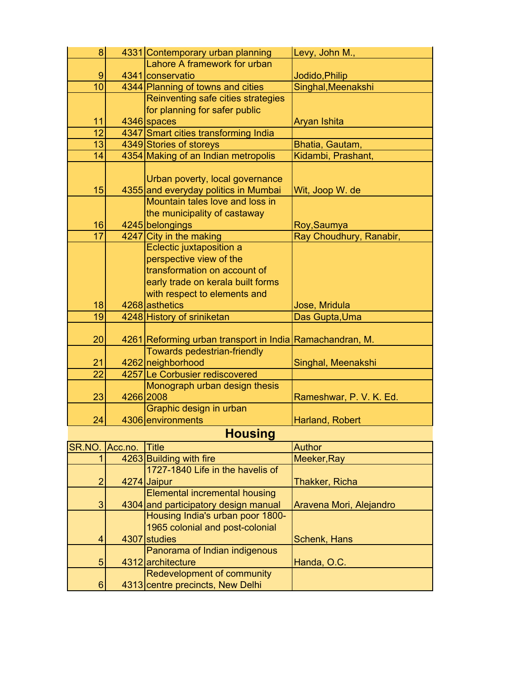| 8                |           | 4331 Contemporary urban planning        | Levy, John M.,          |
|------------------|-----------|-----------------------------------------|-------------------------|
|                  |           | Lahore A framework for urban            |                         |
| $\boldsymbol{9}$ |           | 4341 conservatio                        | Jodido, Philip          |
| 10               |           | 4344 Planning of towns and cities       | Singhal, Meenakshi      |
|                  |           | Reinventing safe cities strategies      |                         |
|                  |           | for planning for safer public           |                         |
| 11               |           | 4346 spaces                             | Aryan Ishita            |
| $\overline{12}$  |           | 4347 Smart cities transforming India    |                         |
| 13               |           | 4349 Stories of storeys                 | Bhatia, Gautam,         |
| 14               |           | 4354 Making of an Indian metropolis     | Kidambi, Prashant,      |
|                  |           |                                         |                         |
|                  |           | Urban poverty, local governance         |                         |
| 15               |           | 4355 and everyday politics in Mumbai    | Wit, Joop W. de         |
|                  |           | Mountain tales love and loss in         |                         |
|                  |           | the municipality of castaway            |                         |
| 16               |           | 4245 belongings                         | Roy, Saumya             |
| $\overline{17}$  |           | 4247 City in the making                 | Ray Choudhury, Ranabir, |
|                  |           | Eclectic juxtaposition a                |                         |
|                  |           | perspective view of the                 |                         |
|                  |           |                                         |                         |
|                  |           | transformation on account of            |                         |
|                  |           | early trade on kerala built forms       |                         |
|                  |           | with respect to elements and            |                         |
| 18               |           | 4268 asthetics                          | Jose, Mridula           |
| 19               |           | 4248 History of sriniketan              | Das Gupta, Uma          |
|                  |           |                                         |                         |
| 20               |           | 4261 Reforming urban transport in India | Ramachandran, M.        |
|                  |           | <b>Towards pedestrian-friendly</b>      |                         |
| 21               |           | 4262 neighborhood                       | Singhal, Meenakshi      |
| $\overline{22}$  |           | 4257 Le Corbusier rediscovered          |                         |
|                  |           | Monograph urban design thesis           |                         |
| 23               | 4266 2008 |                                         | Rameshwar, P. V. K. Ed. |
|                  |           | Graphic design in urban                 |                         |
| 24               |           | 4306 environments                       | Harland, Robert         |
|                  |           | <b>Housing</b>                          |                         |
| SR.NO.           | Acc.no.   | <b>Title</b>                            | <b>Author</b>           |
|                  |           | 4263 Building with fire                 | Meeker, Ray             |
|                  |           | 1727-1840 Life in the havelis of        |                         |
|                  |           |                                         |                         |
| $\overline{2}$   |           | 4274 Jaipur                             | Thakker, Richa          |
|                  |           | <b>Elemental incremental housing</b>    |                         |
| 3                |           | 4304 and participatory design manual    | Aravena Mori, Alejandro |
|                  |           | Housing India's urban poor 1800-        |                         |
|                  |           | 1965 colonial and post-colonial         |                         |
| 4                |           | 4307 studies                            | Schenk, Hans            |
|                  |           | Panorama of Indian indigenous           |                         |
| 5                |           | 4312 architecture                       | Handa, O.C.             |
|                  |           | Redevelopment of community              |                         |
| $6\phantom{1}$   |           | 4313 centre precincts, New Delhi        |                         |
|                  |           |                                         |                         |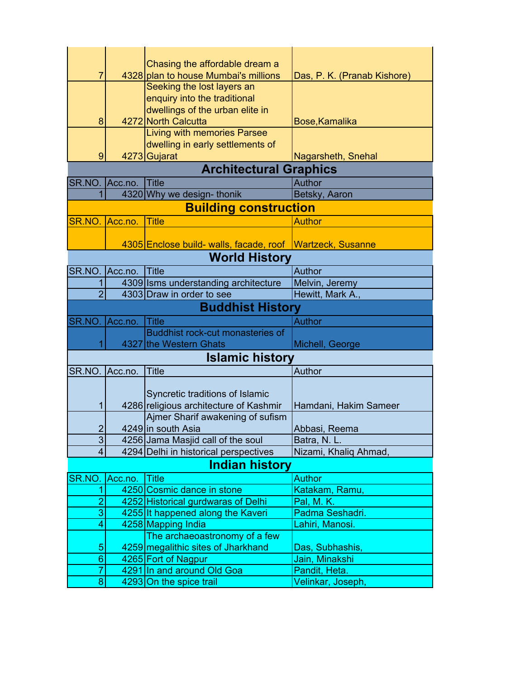|                |             | Chasing the affordable dream a                        |                                    |
|----------------|-------------|-------------------------------------------------------|------------------------------------|
| 7              |             | 4328 plan to house Mumbai's millions                  | Das, P. K. (Pranab Kishore)        |
|                |             | Seeking the lost layers an                            |                                    |
|                |             | enquiry into the traditional                          |                                    |
|                |             | dwellings of the urban elite in                       |                                    |
| 8              |             | 4272 North Calcutta                                   | Bose, Kamalika                     |
|                |             | Living with memories Parsee                           |                                    |
|                |             | dwelling in early settlements of                      |                                    |
| 9              |             | 4273 Gujarat                                          | Nagarsheth, Snehal                 |
|                |             | <b>Architectural Graphics</b>                         |                                    |
| SR.NO.         | $ $ Acc.no. | <b>Title</b>                                          | Author                             |
| 1              |             | 4320 Why we design- thonik                            | Betsky, Aaron                      |
|                |             | <b>Building construction</b>                          |                                    |
| SR.NO. Acc.no. |             | <b>Title</b>                                          | <b>Author</b>                      |
|                |             |                                                       |                                    |
|                |             | 4305 Enclose build- walls, facade, roof               | <b>Wartzeck, Susanne</b>           |
|                |             | <b>World History</b>                                  |                                    |
| SR.NO.         | Acc.no.     | <b>Title</b>                                          | Author                             |
|                |             | 4309 Isms understanding architecture                  | Melvin, Jeremy                     |
| $\overline{2}$ |             | 4303 Draw in order to see                             | Hewitt, Mark A.,                   |
|                |             | <b>Buddhist History</b>                               |                                    |
| SR.NO.         | Acc.no.     | <b>Title</b>                                          | <b>Author</b>                      |
|                |             | Buddhist rock-cut monasteries of                      |                                    |
|                |             | 4327 the Western Ghats                                | Michell, George                    |
|                |             | <b>Islamic history</b>                                |                                    |
| SR.NO. Acc.no. |             | <b>Title</b>                                          | Author                             |
|                |             |                                                       |                                    |
|                |             | Syncretic traditions of Islamic                       |                                    |
| 1              |             | 4286 religious architecture of Kashmir                | Hamdani, Hakim Sameer              |
|                |             | Ajmer Sharif awakening of sufism                      |                                    |
| $\overline{2}$ |             | 4249 in south Asia                                    | Abbasi, Reema                      |
| 3              |             | 4256 Jama Masjid call of the soul                     | Batra, N. L.                       |
| $\overline{4}$ |             | 4294 Delhi in historical perspectives                 | Nizami, Khaliq Ahmad,              |
|                |             | <b>Indian history</b>                                 |                                    |
| SR.NO.         | Acc.no.     | <b>Title</b>                                          | <b>Author</b>                      |
|                |             | 4250 Cosmic dance in stone                            | Katakam, Ramu,                     |
| $\overline{2}$ |             | 4252 Historical gurdwaras of Delhi                    | Pal, M. K.                         |
| 3              |             | 4255 It happened along the Kaveri                     | Padma Seshadri.                    |
| 4              |             | 4258 Mapping India                                    | Lahiri, Manosi.                    |
|                |             | The archaeoastronomy of a few                         |                                    |
| $\overline{5}$ |             | 4259 megalithic sites of Jharkhand                    | Das, Subhashis,<br>Jain, Minakshi  |
|                |             |                                                       |                                    |
| $6\phantom{1}$ |             | 4265 Fort of Nagpur                                   |                                    |
| 7<br>8         |             | 4291 In and around Old Goa<br>4293 On the spice trail | Pandit, Heta.<br>Velinkar, Joseph, |